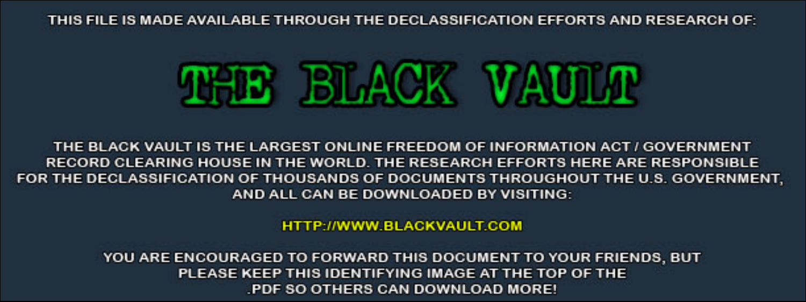THIS FILE IS MADE AVAILABLE THROUGH THE DECLASSIFICATION EFFORTS AND RESEARCH OF:



THE BLACK VAULT IS THE LARGEST ONLINE FREEDOM OF INFORMATION ACT / GOVERNMENT RECORD CLEARING HOUSE IN THE WORLD. THE RESEARCH EFFORTS HERE ARE RESPONSIBLE FOR THE DECLASSIFICATION OF THOUSANDS OF DOCUMENTS THROUGHOUT THE U.S. GOVERNMENT, AND ALL CAN BE DOWNLOADED BY VISITING:

**HTTP://WWW.BLACKVAULT.COM** 

YOU ARE ENCOURAGED TO FORWARD THIS DOCUMENT TO YOUR FRIENDS, BUT PLEASE KEEP THIS IDENTIFYING IMAGE AT THE TOP OF THE PDF SO OTHERS CAN DOWNLOAD MORE!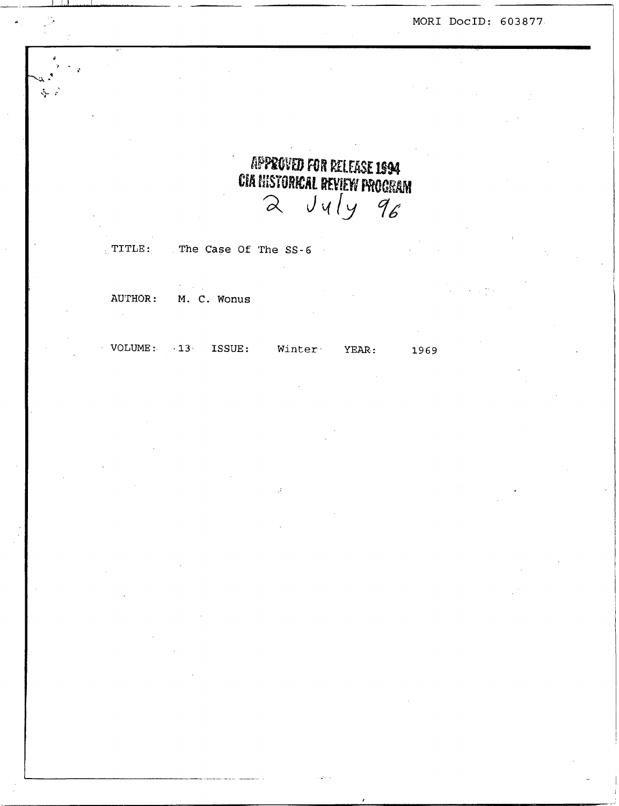**MOR1 DocID:** *603877* 

# APPROVED FOR RELEASE 1994 **CIA HISTORICAL REVIEW PROCRAM**  $\alpha$   $Jy/y$   $q6$

, TITLE: The Case Of The *SS-6* 

AUTHOR: **M.** *C.* WOnUS

**VOLUME: -13. ISSUE: Winter. YEAR: 1969**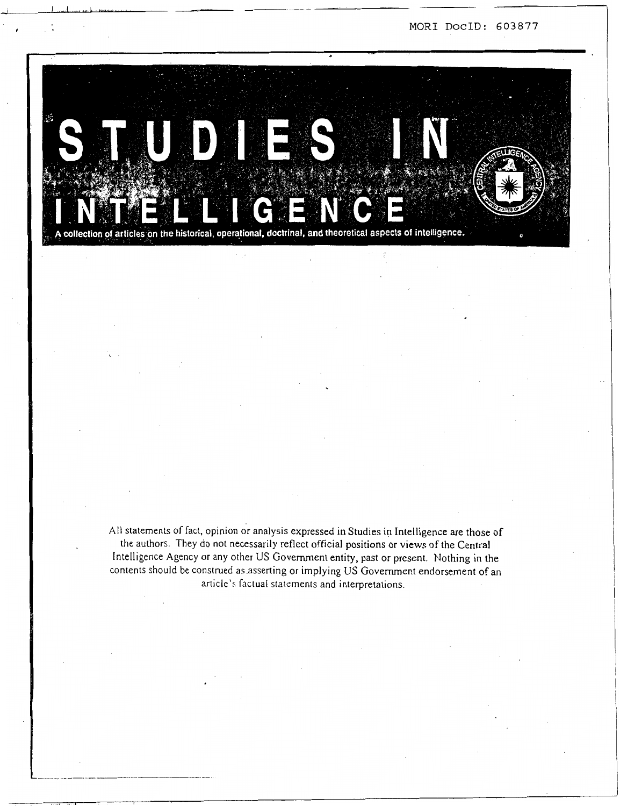**MOR1 DocID:** *603877* 



**All** statements of fact, opinion or analysis expressed in Studies in Intelligence are those of the authors. They do not necessarily reflect official positions or views of the Central Intelligence Agency or any other US Government entity, past or present. Nothing in the contents should be construed as.asserting or implying US Government endorsement of an article's factual statements and interpretations.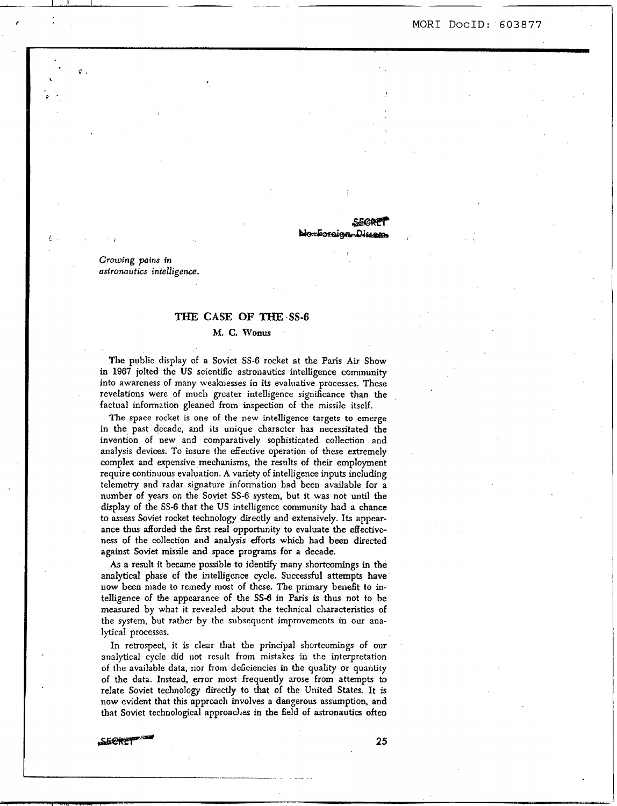**MOR1 DOCID:** *603877* 

#### **SEGRI** <del>Monforaigan D</del>iss

**Growing pains in astronuutics** *intelligence.* 

#### TxiE **CASE OF THE** *-SS-6*

**M.** *C.* **Wonus** 

The public display of a Soviet SS-6 rocket at the **Paris Air** Show in 1967 jolted the US scientific astronautics intelligence community into awareness of many weaknesses in its evaluative processes. These revelations were of much greater intelligence significance than the factual information gleaned from inspection of the missile itself.

The space rocket is one of the new intelligence **targets** *to* emerge in the past decade, and **its** unique character has necessitated the invention of new and comparatively sophisticated collection and analysis devices. To insure the effective operation of these extremely complex and expensive mechanisms, the results of their employment require continuous evaluation. **A variety** of intelligence inputs including telemetry and radar signature information had been available for a number of **years** on the Soviet SS-6 system, but it **was** not **witil** the display of the *SS-6* that the US intelligence community had a chance to **assess** Soviet rocket technology directly and extensively. **Its** appear**ance thus** afforded the first real opportunity to evaluate the effective **ness** of the collection **and analysis** efforts which bad **been** directed against Soviet missile and space programs **for** a decade.

**As a** result it became possible to identify many shortcomings in the analytical phase of the intelligence cycle. **Successful** attempts have now been made to remedy most of these. The primary benefit to intelligence of the appearance of **the** SS-6 in **Paris** is thus not to be measured by what it revealed about the technical characteristics **of**  the system, but ratber by the subsequent improvements in our analytical processes.

In retrospect, it is clear that the principal shortcomings of our analytical cycle did not result **from** mistakes in the interpretation of the available data, nor horn ddciencies *in the* quality or quantity of **the** data. Instead, error most frequently arose from attempts **to**  relate Soviet technology directly to that **of** the United States. It is now evident that **this** approach invdves a dangerous assumption, and that Soviet technological approaches in the field of astronautics often SECRET

**..-.I\_\_** . . . .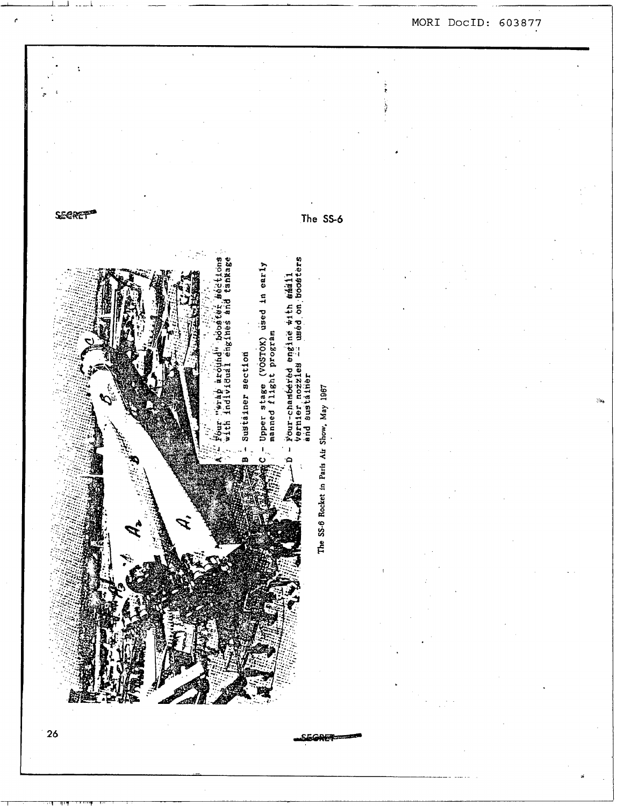**SECRET®** The SS-6 Four-chambéred engine #ith saail<br>Vernier nozzies ÷ used on boosters h individual engines and tankage **Bections** Upper stage (VOSTOX) used in early<br>manned flight program 1000819 Sustainer section wrap around nd sustainer The SS-6 Rocket in Paris Air Show, May 1967

 $26$ 

心不安

## MORI DocID: 603877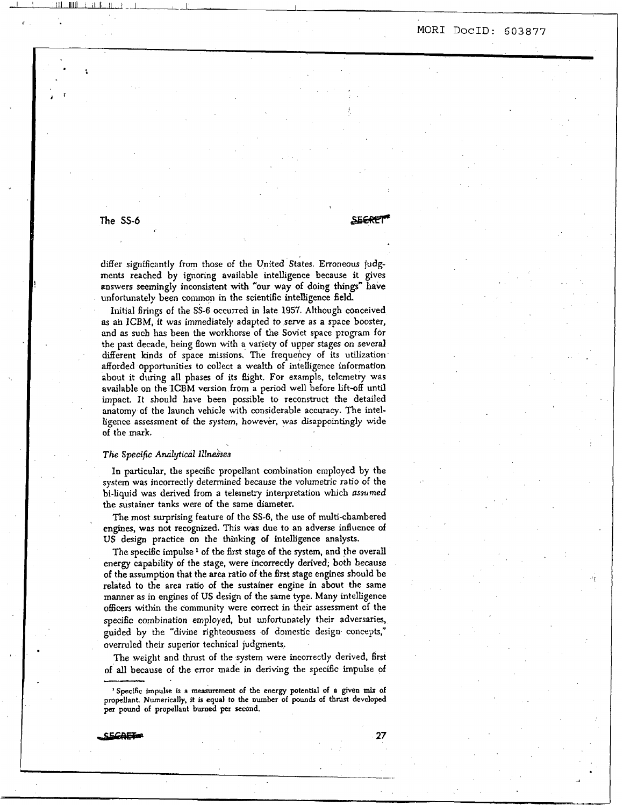## **i MOR1 DocID:** *<sup>603877</sup>*

## **The SS-6 Contract of the SS-6 SECRET**

differ significantly from those of the United States. Erroneous judgments reached by ignoring available intelligence because it gives answers **seemingly** inconsistent with 'our **way** of doing **things"** have unfortunately been common in the scientific intelligence field.

Initial firings of the *SS-6* occurred in late 1957. Although conceived **as** an ICBM, it was immediately adapted *to* serve as a space booster, **and as** such **has** been the workhorse of the Soviet space program for the past decade, being flown with a variety of upper stages on several different kinds of space missions. The frequency of its utilization' afforded opportunities to collect a wealth **of** intelligence information about it during all phases of its flight. For example, telemetry was available on the **ICBM** version from a period well before **lift-off** until impact. It should have been possible to reconstruct the detailed anatomy of the launch vehicle with considerable accuracy. The intelligence assessment **of** the system, however, **was** disappointingly wide of the **mark.** 

#### *The Specifk* **Analytical IllneSses**

 $\epsilon$  ,  $\epsilon$  ,  $\epsilon$  ,  $\epsilon$  ,  $\epsilon$  ,  $\epsilon$  ,  $\epsilon$  ,  $\epsilon$  ,  $\epsilon$  ,  $\epsilon$  ,  $\epsilon$  ,  $\epsilon$  ,  $\epsilon$  ,  $\epsilon$  ,  $\epsilon$  ,  $\epsilon$  ,  $\epsilon$  ,  $\epsilon$  ,  $\epsilon$  ,  $\epsilon$  ,  $\epsilon$  ,  $\epsilon$  ,  $\epsilon$  ,  $\epsilon$  ,  $\epsilon$  ,  $\epsilon$  ,  $\epsilon$  ,  $\epsilon$  ,  $\epsilon$  ,  $\epsilon$  ,  $\epsilon$  ,  $\epsilon$ 

In particular, the specific propellant combination employed by the system **was** incorrectly determined because the vohmetric ratio of the bi-liquid was derived hom **a** telemetry interpretation which **asnimed**  the sustainer tanks were of the same diameter.

The most **nuprising** feature of the *SS-6,* the use of multi-chambered engines, was not recognized. This was due to an adverse influence of **US** design practice on the thinking of intelligence analysts.

The specific impulse<sup>1</sup> of the first stage of the system, and the overall energy capability of the stage, were incorrectly derived; both because of the assumption that the **area** ratio of the **first** stage engines should be related to the area ratio of the sustainer engine in about the same manner **as** in engines of US design of the same type. Many intelligence **officers** witliin the community were correct in their assessment of the *specific* combination employed, but unfortunately their adversaries, guided by the "divine righteousness of domestic design **concepts,"**  overruled their superior technical judgments.

The weight and **thrust** of the system were incorrectly derived, **first**  of all because of the error made in deriving the specific impulse of

<sup>&#</sup>x27; **Specffic impulse is a measurement of the energy potential of a given** *mix* **of propellant. Numerically, it is equal to the number of pounds of** thrust **developed**  per **pound of propellant** burned per **second.**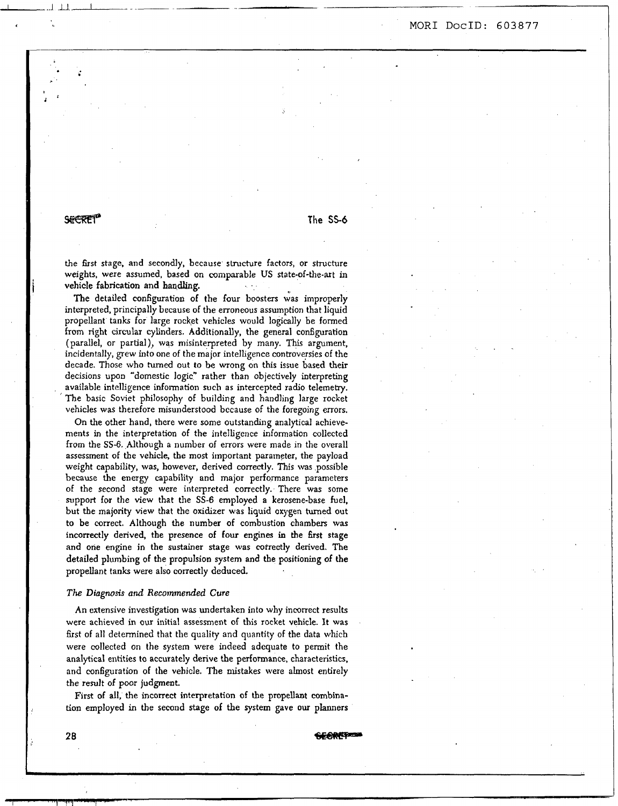<sup>&</sup>lt;**MOR1 DocID:** *603877* 

### **SEERET**

-..I MI-..- -

**The** *SS-6* 

the **first** stage, and secondly, because structure factors, or structure weights, were assumed, based on comparable US state-of-the-art in vehicle fabrication **and handling.** ..

The detailed configuration of the four boosters was improperly intcrpreted, principally because of the erroneous assumption that liquid propellant tanks for large rocket vehicles would logically be formed from right circular cylinders. Additionally, the general configuration (parallel, or partial), was misinterpreted by many. This argument, incidentally, grew into one of the major intelligence controversies of the decade. Those who **turned** out *to* be wrong on **this** issue based their decisions upon "domestic logic" rather than objectively interpreting avaiiable intelligence information such as intercepted radio telemetry. The basic Soviet philosophy of building and handling large rocket vehicles was therefore misunderstood bccause of the foregoing errors.

On the other hand, there were some outstanding analytical achievements in the interpretation of the intelligence information collected from the SS-6. Although a number of errors were made in the overall assessment of the vehicle, the **most** important parameter, the payload weight capability, was, however, derived correctly. **This** was possible because the energy capability and major performance parameters of the second stage were interpreted correctly. There was some support **for** the view that the *SS-6* employed **a** kerosene-base fuel, but the majority view that thc oxidizer **was** liquid **oxygen** turned out to be correct. Although **the** number of combustion chambers was incorrectly derived, the presence of **four** engines in the first stage and one engine in the sustainer stage was correctly derived. The detailed plumbing of the propulsion system and **the** positioning **of** the propellant tanks were also correctly deduced.

#### *The Diagnosis and Recommended* **Cure**

**An** extensive investigation **was** undertaken into why incorrect results were achieved in our initial assessment of this rocket vehicle. **It** was first of all determined that the quality and quantity of the data which were collected on the system were indeed adequate to permit the analytical entities to accurately derive the performance, characteristics, and configuration of the vehicle. **The** mistakes were almost entirely the result of poor judgment.

First of all, the incorrect interpretation of the propellant combination employed in the second stage of the system gave our planners

SEOREP

**28**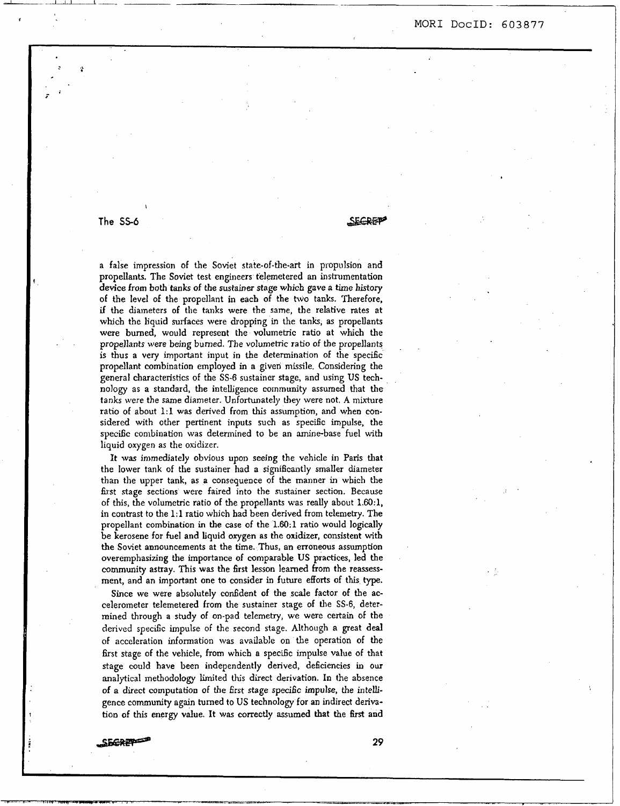**<sup>f</sup>MOR1 DocID:** *603877* 

.-

# **The SS-6** *s-*

I

,<br>7

<sup>I</sup>-u--

a false impression of the Soviet state-of-the-art in propulsion and propellants. The Soviet test engineers telemetered **an** inskumentation device from both tanks of the sustainer **stage** which gave **a** time **history**  of the level of the propellant in each of the **hvo** tanks. Therefore, if the diameters of the **tanks** were the same, the relative rates at which the liquid surfaces were dropping in the tanks, as propellants were burned, would represent the volumetric ratio at which the propellants were being burned. The volumetrjc ratio of the propellants **is** thus a very important input in the determination of the specific propellant combination employed in **a** given missile. Considering the general characteristics of the *SS-6* sustainer stage, and using US technology as a standard, the intelligence community assumed that the tanks were the same diameter. Unfortunately they were not. **A** mixture ratio of about **1:l** was derived from this assumption, and when considered with other pertinent inputs such as specific impulse, the specific combination was determined to be an amine-base fuel with liquid oxygen as the oxidizer.

It was immediately obvious upon seeing the vehicle **in** Pans that the lower tank of the sustainer had a significantly smaller diameter than the upper tank, as a consequence of the manner in which the first stage sections were faired into the sustainer section. Because of this, the volumetric ratio of the propellants was really about **1.60:1,**  in contrast to the **1:l** ratio which had been derived from telemetry. The propellant combination in the case of the **1.60:l ratio** would logically be kerosene for fuel and liquid oxygen as the oxidizer, consistent with the Soviet announcements at the time. Thus, **an** erroneous assumption overemphasizing the importance **of** comparable US practices, led the community astray. This was the first lesson learned from the reassessment, and an important one to consider in future efforts of **this type.** 

Since we were absolutely confident of the scale factor of the accelerometer telemetered from the sustainer stage of the SS-6, determined through a study of on-pad telemetry, we were certain of the derived specific impulse of the second stage. Although a great deal of acccleration information was available on the operation of **the**  first stage of the vehicle, from which **a** specific impulse value **of** that stage could have been independently derived, deficiencies in our analytical methodology limited **this** direct derivation. In the absence of a direct computation of the first stage **specihc** impulse, the intelligence community **again** turned to US technology for an indirect deriva-Since we were absolutely confident of the scale factor of the accelerometer telemetered from the sustainer stage of the SS-6, determined through a study of on-pad telemetry, we were certain of the derived specific impulse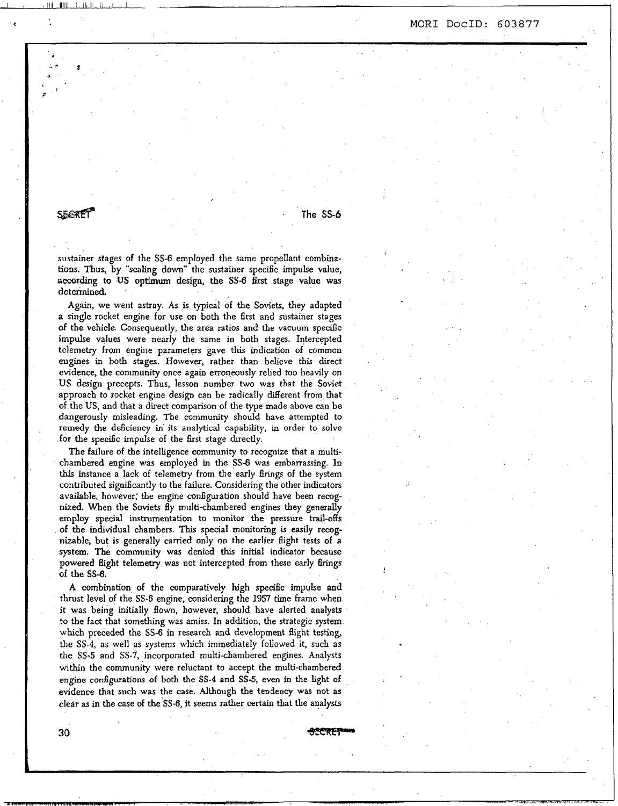#### **MOR1 DOCID: 603877**

## SEERET

**The** *SS6* 

,

sustainer stages of the SS-6 employed the same propellant combinations. Thus, by "scaling down" the sustainer specific impulse value, **according** to **US** optimum **design,** the *SS-6* first stage **value** was determined.

I ,111 lllll I IIII I1 I I -1 1

Again, we went astray. As is typical of the Soviets, they adapted **a** single rocket engine for use on both the first and sustainer stages of the vehicle. Consequently, the area **ratios** and the vacuum specific impulse values were nearly the same in both stages. Intercepted telemetry from engine parameters gave this indication of common engines in both stages. However, rather than believe this direct evidence, the community once again erroneously relied too heavily on US design precepts. **Thus,** lesson number two was that the Soviet approach to rocket engine design can be radically different from that of the US, and **that** a direct comparison of the type made above can be dangerously misleading. The **community** should have atrempted to remedy **the** deficiency **in** its analytical capability, in order to solve for the specific impulse of the 6rst stage directly.

**The** failure of the intelligence community to recognize that **a** multichambered engine was employed in the *SS-6* **was** embarrassing. In **this** instance a lack of telemetry from the early **firings** of the system contributed significantly to the failure. Considering the other indicators available, however; the engine configuration should have been recognized. When the Soviets fly rnulti-chambered engines they generally **employ** special instrumentation to monitor the pressure trail-offs of the individual chambers. **This** special monitoring is easily recognizable, but **is** generally carried only on the earlier flight tests of **a**  system. The **community was** denied **this** initial indicator because **powered** Bight telemetry **was** not intercepted from these early firings of the **SS-6,** 

**A** combination of the comparatively high specific impulse **and**  thrust level of the **SS-6** engine, considering the 1957 time frame when it was being initially flown, however, should have alerted analysts to the fact that something was amiss. **In** addition, the strategic system **which** preceded the *SS-6* in research and development flight testing, the SS4, as well as systems which immedately followed it, such as the *SS-5* and SS-7. incorporated multi-chambered engines. Analysts within the community were reluctant to accept the multi-chambered engine configurations **of** both the **SS-4** and *SS-5,* even in the **light** of evidence that **such was** the case. Although the tendency **was** not as clear as *in* the case of the *SS-6,* it seems rather **certain** that the analysts